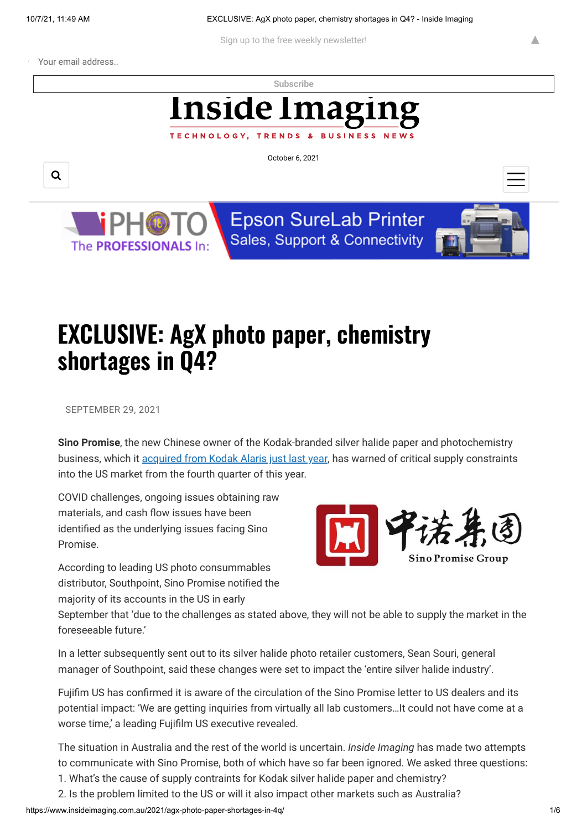**BUSINESS** 

Sign up to the free weekly newsletter!

Your email address..

**[Subscribe](https://www.insideimaging.com.au/)**

## Inside Imag

October 6, 2021





**Epson SureLab Printer** Sales, Support & Connectivity



▲

## **EXCLUSIVE: AgX photo paper, chemistry shortages in Q4?**

TECHNOLOGY, TRENDS

SEPTEMBER 29, 2021

**Sino Promise**, the new Chinese owner of the Kodak-branded silver halide paper and photochemistry business, which it [acquired from Kodak Alaris just last year](https://www.insideimaging.com.au/2016/kodak-outsources-colour-paper-manufacture/), has warned of critical supply constraints into the US market from the fourth quarter of this year.

COVID challenges, ongoing issues obtaining raw materials, and cash flow issues have been identified as the underlying issues facing Sino Promise.

According to leading US photo consummables distributor, Southpoint, Sino Promise notified the majority of its accounts in the US in early



September that 'due to the challenges as stated above, they will not be able to supply the market in the foreseeable future.'

In a letter subsequently sent out to its silver halide photo retailer customers, Sean Souri, general manager of Southpoint, said these changes were set to impact the 'entire silver halide industry'.

Fujifim US has confirmed it is aware of the circulation of the Sino Promise letter to US dealers and its potential impact: 'We are getting inquiries from virtually all lab customers…It could not have come at a worse time,' a leading Fujifilm US executive revealed.

The situation in Australia and the rest of the world is uncertain. *Inside Imaging* has made two attempts to communicate with Sino Promise, both of which have so far been ignored. We asked three questions:

- 1. What's the cause of supply contraints for Kodak silver halide paper and chemistry?
- 2. Is the problem limited to the US or will it also impact other markets such as Australia?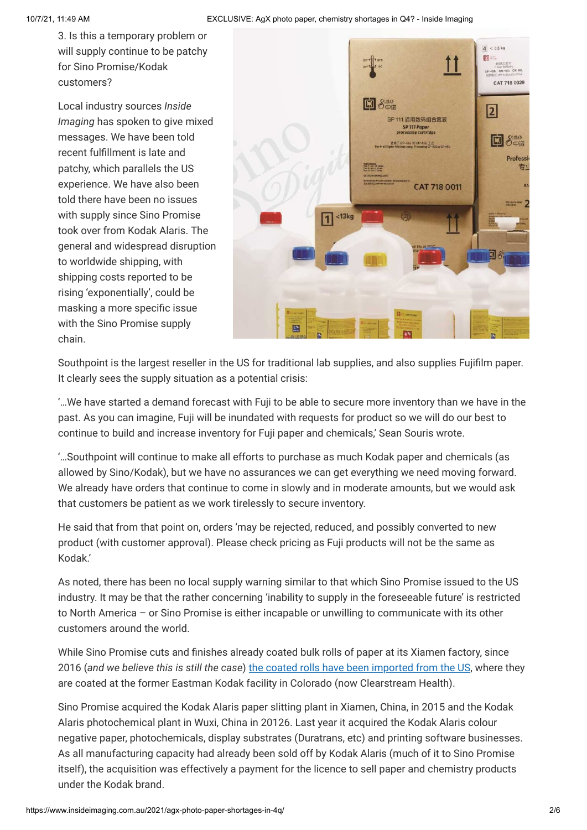3. Is this a temporary problem or will supply continue to be patchy for Sino Promise/Kodak customers?

Local industry sources *Inside Imaging* has spoken to give mixed messages. We have been told recent fulfillment is late and patchy, which parallels the US experience. We have also been told there have been no issues with supply since Sino Promise took over from Kodak Alaris. The general and widespread disruption to worldwide shipping, with shipping costs reported to be rising 'exponentially', could be masking a more specific issue with the Sino Promise supply chain.



Southpoint is the largest reseller in the US for traditional lab supplies, and also supplies Fujifilm paper. It clearly sees the supply situation as a potential crisis:

'…We have started a demand forecast with Fuji to be able to secure more inventory than we have in the past. As you can imagine, Fuji will be inundated with requests for product so we will do our best to continue to build and increase inventory for Fuji paper and chemicals,' Sean Souris wrote.

'…Southpoint will continue to make all efforts to purchase as much Kodak paper and chemicals (as allowed by Sino/Kodak), but we have no assurances we can get everything we need moving forward. We already have orders that continue to come in slowly and in moderate amounts, but we would ask that customers be patient as we work tirelessly to secure inventory.

He said that from that point on, orders 'may be rejected, reduced, and possibly converted to new product (with customer approval). Please check pricing as Fuji products will not be the same as Kodak.'

As noted, there has been no local supply warning similar to that which Sino Promise issued to the US industry. It may be that the rather concerning 'inability to supply in the foreseeable future' is restricted to North America – or Sino Promise is either incapable or unwilling to communicate with its other customers around the world.

While Sino Promise cuts and finishes already coated bulk rolls of paper at its Xiamen factory, since 2016 (*and we believe this is still the case*) [the coated rolls have been imported from the US,](https://www.insideimaging.com.au/2016/kodak-outsources-colour-paper-manufacture/) where they are coated at the former Eastman Kodak facility in Colorado (now Clearstream Health).

Sino Promise acquired the Kodak Alaris paper slitting plant in Xiamen, China, in 2015 and the Kodak Alaris photochemical plant in Wuxi, China in 20126. Last year it acquired the Kodak Alaris colour negative paper, photochemicals, display substrates (Duratrans, etc) and printing software businesses. As all manufacturing capacity had already been sold off by Kodak Alaris (much of it to Sino Promise itself), the acquisition was effectively a payment for the licence to sell paper and chemistry products under the Kodak brand.